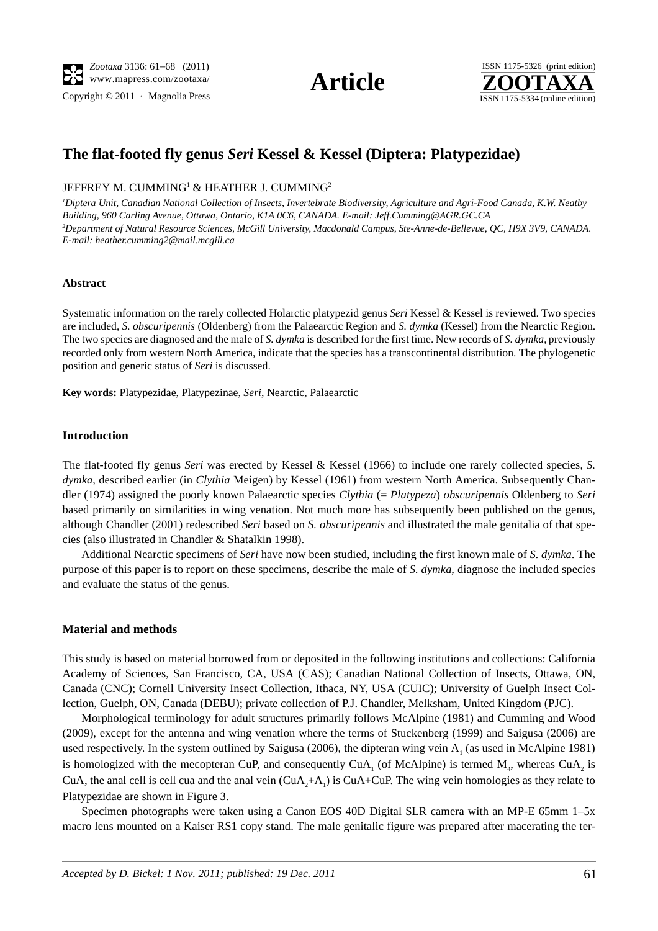Copyright  $\odot$  2011 · Magnolia Press ISSN 1175-5334 (online edition)



# **The flat-footed fly genus** *Seri* **Kessel & Kessel (Diptera: Platypezidae)**

## JEFFREY M. CUMMING<sup>1</sup> & HEATHER J. CUMMING<sup>2</sup>

*1 Diptera Unit, Canadian National Collection of Insects, Invertebrate Biodiversity, Agriculture and Agri-Food Canada, K.W. Neatby Building, 960 Carling Avenue, Ottawa, Ontario, K1A 0C6, CANADA. E-mail: Jeff.Cumming@AGR.GC.CA 2 Department of Natural Resource Sciences, McGill University, Macdonald Campus, Ste-Anne-de-Bellevue, QC, H9X 3V9, CANADA. E-mail: heather.cumming2@mail.mcgill.ca*

#### **Abstract**

Systematic information on the rarely collected Holarctic platypezid genus *Seri* Kessel & Kessel is reviewed. Two species are included, *S. obscuripennis* (Oldenberg) from the Palaearctic Region and *S. dymka* (Kessel) from the Nearctic Region. The two species are diagnosed and the male of *S. dymka* is described for the first time. New records of *S. dymka*, previously recorded only from western North America, indicate that the species has a transcontinental distribution. The phylogenetic position and generic status of *Seri* is discussed.

**Key words:** Platypezidae, Platypezinae, *Seri*, Nearctic, Palaearctic

#### **Introduction**

The flat-footed fly genus *Seri* was erected by Kessel & Kessel (1966) to include one rarely collected species, *S. dymka*, described earlier (in *Clythia* Meigen) by Kessel (1961) from western North America. Subsequently Chandler (1974) assigned the poorly known Palaearctic species *Clythia* (= *Platypeza*) *obscuripennis* Oldenberg to *Seri* based primarily on similarities in wing venation. Not much more has subsequently been published on the genus, although Chandler (2001) redescribed *Seri* based on *S. obscuripennis* and illustrated the male genitalia of that species (also illustrated in Chandler & Shatalkin 1998).

Additional Nearctic specimens of *Seri* have now been studied, including the first known male of *S. dymka*. The purpose of this paper is to report on these specimens, describe the male of *S. dymka*, diagnose the included species and evaluate the status of the genus.

#### **Material and methods**

This study is based on material borrowed from or deposited in the following institutions and collections: California Academy of Sciences, San Francisco, CA, USA (CAS); Canadian National Collection of Insects, Ottawa, ON, Canada (CNC); Cornell University Insect Collection, Ithaca, NY, USA (CUIC); University of Guelph Insect Collection, Guelph, ON, Canada (DEBU); private collection of P.J. Chandler, Melksham, United Kingdom (PJC).

Morphological terminology for adult structures primarily follows McAlpine (1981) and Cumming and Wood (2009), except for the antenna and wing venation where the terms of Stuckenberg (1999) and Saigusa (2006) are used respectively. In the system outlined by Saigusa (2006), the dipteran wing vein  $A_1$  (as used in McAlpine 1981) is homologized with the mecopteran CuP, and consequently CuA<sub>1</sub> (of McAlpine) is termed  $M_4$ , whereas CuA<sub>2</sub> is CuA, the anal cell is cell cua and the anal vein  $(CuA_2+A_1)$  is  $CuA+CuP$ . The wing vein homologies as they relate to Platypezidae are shown in Figure 3.

Specimen photographs were taken using a Canon EOS 40D Digital SLR camera with an MP-E 65mm 1–5x macro lens mounted on a Kaiser RS1 copy stand. The male genitalic figure was prepared after macerating the ter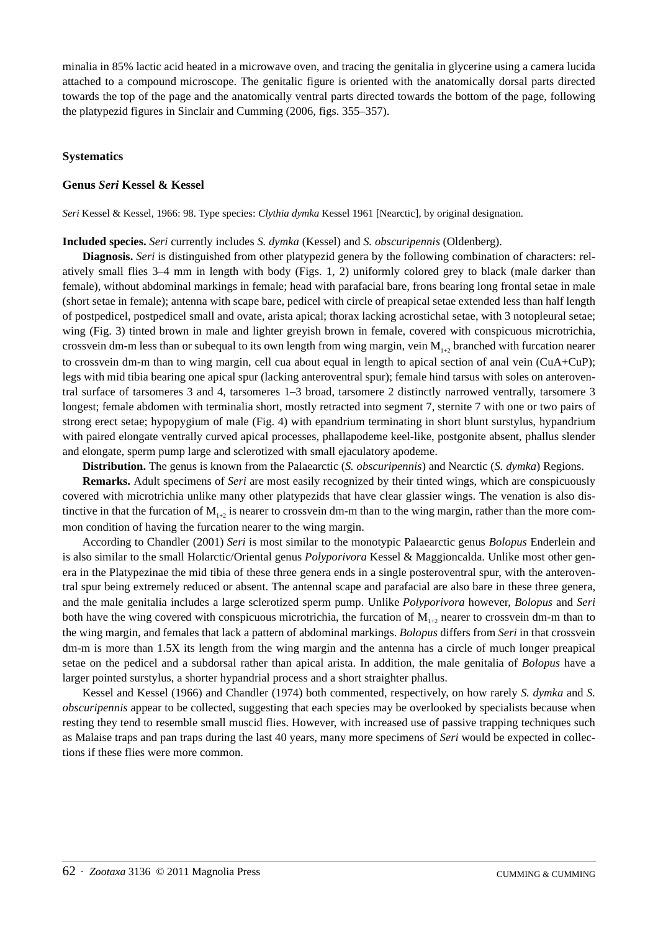minalia in 85% lactic acid heated in a microwave oven, and tracing the genitalia in glycerine using a camera lucida attached to a compound microscope. The genitalic figure is oriented with the anatomically dorsal parts directed towards the top of the page and the anatomically ventral parts directed towards the bottom of the page, following the platypezid figures in Sinclair and Cumming (2006, figs. 355–357).

#### **Systematics**

#### **Genus** *Seri* **Kessel & Kessel**

*Seri* Kessel & Kessel, 1966: 98. Type species: *Clythia dymka* Kessel 1961 [Nearctic], by original designation.

#### **Included species.** *Seri* currently includes *S. dymka* (Kessel) and *S. obscuripennis* (Oldenberg).

**Diagnosis.** *Seri* is distinguished from other platypezid genera by the following combination of characters: relatively small flies 3–4 mm in length with body (Figs. 1, 2) uniformly colored grey to black (male darker than female), without abdominal markings in female; head with parafacial bare, frons bearing long frontal setae in male (short setae in female); antenna with scape bare, pedicel with circle of preapical setae extended less than half length of postpedicel, postpedicel small and ovate, arista apical; thorax lacking acrostichal setae, with 3 notopleural setae; wing (Fig. 3) tinted brown in male and lighter greyish brown in female, covered with conspicuous microtrichia, crossvein dm-m less than or subequal to its own length from wing margin, vein  $M_{1+2}$  branched with furcation nearer to crossvein dm-m than to wing margin, cell cua about equal in length to apical section of anal vein (CuA+CuP); legs with mid tibia bearing one apical spur (lacking anteroventral spur); female hind tarsus with soles on anteroventral surface of tarsomeres 3 and 4, tarsomeres 1–3 broad, tarsomere 2 distinctly narrowed ventrally, tarsomere 3 longest; female abdomen with terminalia short, mostly retracted into segment 7, sternite 7 with one or two pairs of strong erect setae; hypopygium of male (Fig. 4) with epandrium terminating in short blunt surstylus, hypandrium with paired elongate ventrally curved apical processes, phallapodeme keel-like, postgonite absent, phallus slender and elongate, sperm pump large and sclerotized with small ejaculatory apodeme.

**Distribution.** The genus is known from the Palaearctic (*S. obscuripennis*) and Nearctic (*S. dymka*) Regions.

**Remarks.** Adult specimens of *Seri* are most easily recognized by their tinted wings, which are conspicuously covered with microtrichia unlike many other platypezids that have clear glassier wings. The venation is also distinctive in that the furcation of  $M_{1+2}$  is nearer to crossvein dm-m than to the wing margin, rather than the more common condition of having the furcation nearer to the wing margin.

According to Chandler (2001) *Seri* is most similar to the monotypic Palaearctic genus *Bolopus* Enderlein and is also similar to the small Holarctic/Oriental genus *Polyporivora* Kessel & Maggioncalda. Unlike most other genera in the Platypezinae the mid tibia of these three genera ends in a single posteroventral spur, with the anteroventral spur being extremely reduced or absent. The antennal scape and parafacial are also bare in these three genera, and the male genitalia includes a large sclerotized sperm pump. Unlike *Polyporivora* however, *Bolopus* and *Seri* both have the wing covered with conspicuous microtrichia, the furcation of  $M_{1+2}$  nearer to crossvein dm-m than to the wing margin, and females that lack a pattern of abdominal markings. *Bolopus* differs from *Seri* in that crossvein dm-m is more than 1.5X its length from the wing margin and the antenna has a circle of much longer preapical setae on the pedicel and a subdorsal rather than apical arista. In addition, the male genitalia of *Bolopus* have a larger pointed surstylus, a shorter hypandrial process and a short straighter phallus.

Kessel and Kessel (1966) and Chandler (1974) both commented, respectively, on how rarely *S. dymka* and *S. obscuripennis* appear to be collected, suggesting that each species may be overlooked by specialists because when resting they tend to resemble small muscid flies. However, with increased use of passive trapping techniques such as Malaise traps and pan traps during the last 40 years, many more specimens of *Seri* would be expected in collections if these flies were more common.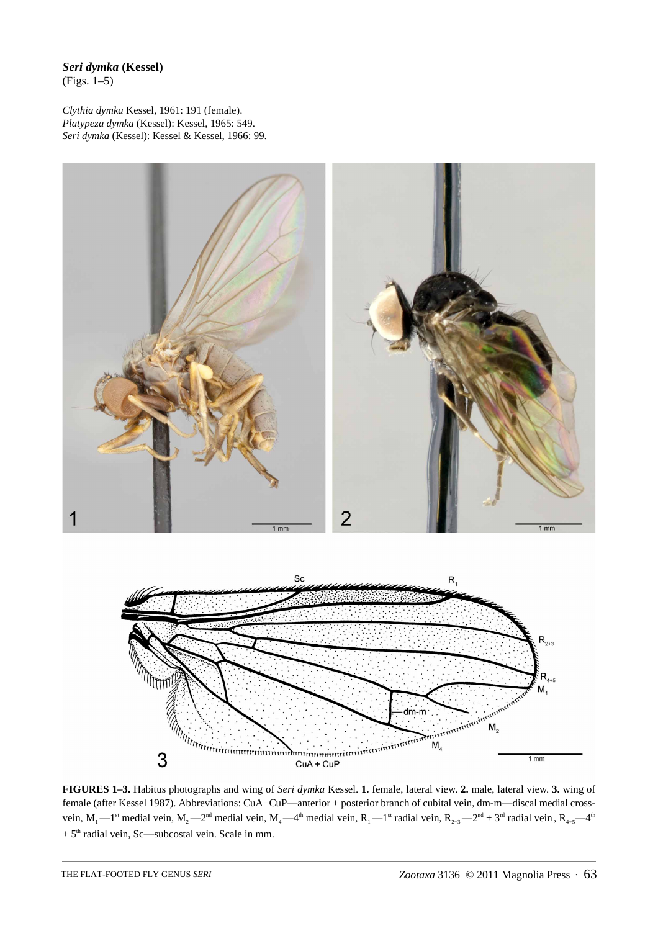# *Seri dymka* **(Kessel)**

(Figs. 1–5)

*Clythia dymka* Kessel, 1961: 191 (female). *Platypeza dymka* (Kessel): Kessel, 1965: 549. *Seri dymka* (Kessel): Kessel & Kessel, 1966: 99.





**FIGURES 1–3.** Habitus photographs and wing of *Seri dymka* Kessel. **1.** female, lateral view. **2.** male, lateral view. **3.** wing of female (after Kessel 1987). Abbreviations: CuA+CuP—anterior + posterior branch of cubital vein, dm-m—discal medial crossvein,  $M_1$  —1<sup>st</sup> medial vein,  $M_2$  —2<sup>nd</sup> medial vein,  $M_4$  —4<sup>th</sup> medial vein,  $R_1$  —1<sup>st</sup> radial vein,  $R_{2+3}$  —2<sup>nd</sup> + 3<sup>rd</sup> radial vein,  $R_{4+5}$  —4<sup>th</sup>  $+ 5<sup>th</sup>$  radial vein, Sc—subcostal vein. Scale in mm.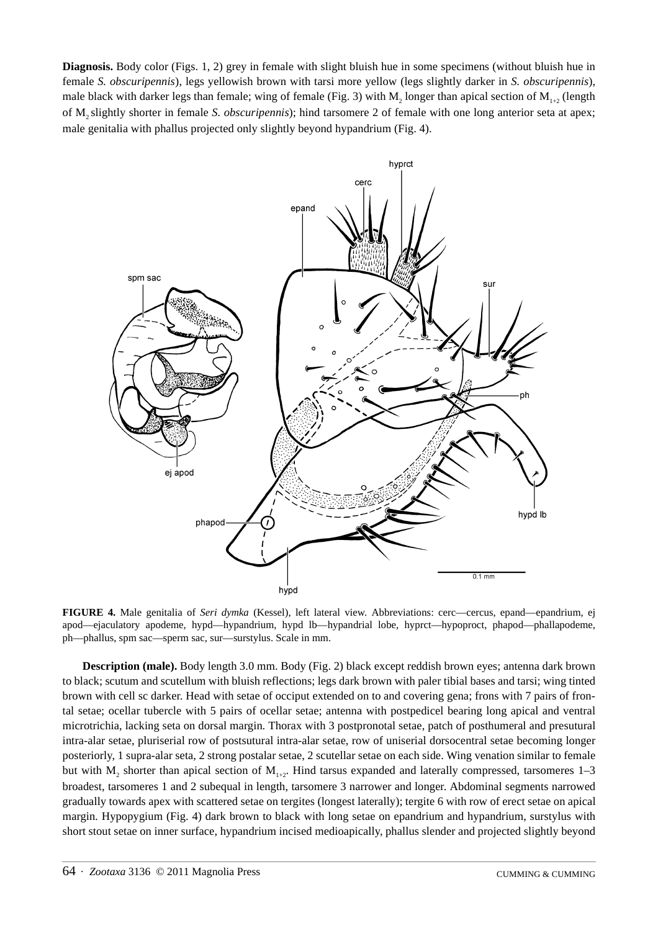**Diagnosis.** Body color (Figs. 1, 2) grey in female with slight bluish hue in some specimens (without bluish hue in female *S. obscuripennis*), legs yellowish brown with tarsi more yellow (legs slightly darker in *S. obscuripennis*), male black with darker legs than female; wing of female (Fig. 3) with M<sub>2</sub> longer than apical section of  $M_{1+2}$  (length of M2 slightly shorter in female *S. obscuripennis*); hind tarsomere 2 of female with one long anterior seta at apex; male genitalia with phallus projected only slightly beyond hypandrium (Fig. 4).



**FIGURE 4.** Male genitalia of *Seri dymka* (Kessel), left lateral view. Abbreviations: cerc—cercus, epand—epandrium, ej apod—ejaculatory apodeme, hypd—hypandrium, hypd lb—hypandrial lobe, hyprct—hypoproct, phapod—phallapodeme, ph—phallus, spm sac—sperm sac, sur—surstylus. Scale in mm.

**Description (male).** Body length 3.0 mm. Body (Fig. 2) black except reddish brown eyes; antenna dark brown to black; scutum and scutellum with bluish reflections; legs dark brown with paler tibial bases and tarsi; wing tinted brown with cell sc darker. Head with setae of occiput extended on to and covering gena; frons with 7 pairs of frontal setae; ocellar tubercle with 5 pairs of ocellar setae; antenna with postpedicel bearing long apical and ventral microtrichia, lacking seta on dorsal margin. Thorax with 3 postpronotal setae, patch of posthumeral and presutural intra-alar setae, pluriserial row of postsutural intra-alar setae, row of uniserial dorsocentral setae becoming longer posteriorly, 1 supra-alar seta, 2 strong postalar setae, 2 scutellar setae on each side. Wing venation similar to female but with M<sub>2</sub> shorter than apical section of  $M_{1+2}$ . Hind tarsus expanded and laterally compressed, tarsomeres 1–3 broadest, tarsomeres 1 and 2 subequal in length, tarsomere 3 narrower and longer. Abdominal segments narrowed gradually towards apex with scattered setae on tergites (longest laterally); tergite 6 with row of erect setae on apical margin. Hypopygium (Fig. 4) dark brown to black with long setae on epandrium and hypandrium, surstylus with short stout setae on inner surface, hypandrium incised medioapically, phallus slender and projected slightly beyond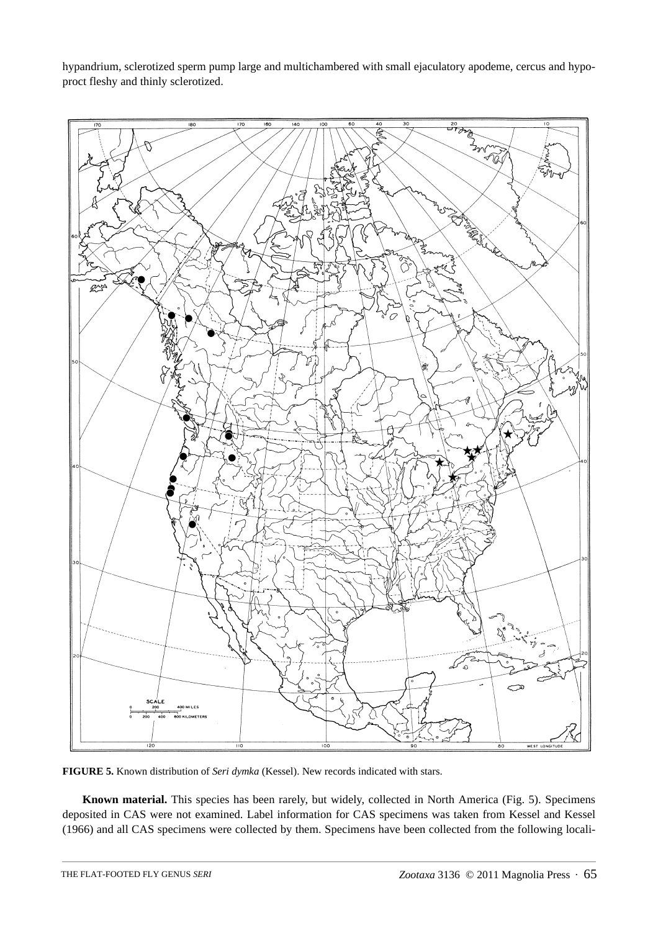hypandrium, sclerotized sperm pump large and multichambered with small ejaculatory apodeme, cercus and hypoproct fleshy and thinly sclerotized.



**FIGURE 5.** Known distribution of *Seri dymka* (Kessel). New records indicated with stars.

**Known material.** This species has been rarely, but widely, collected in North America (Fig. 5). Specimens deposited in CAS were not examined. Label information for CAS specimens was taken from Kessel and Kessel (1966) and all CAS specimens were collected by them. Specimens have been collected from the following locali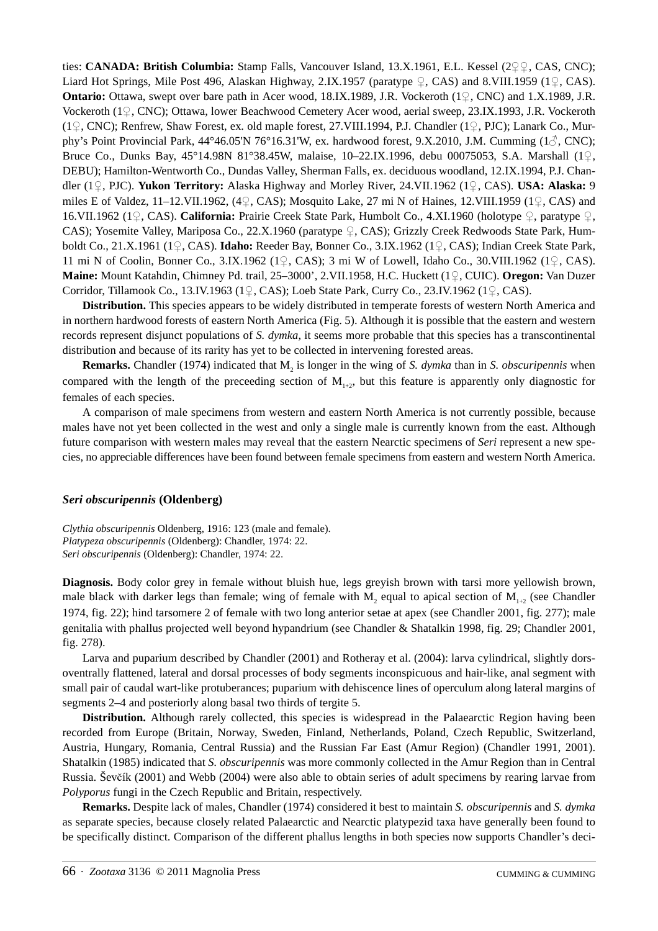ties: **CANADA: British Columbia:** Stamp Falls, Vancouver Island, 13.X.1961, E.L. Kessel (2♀♀, CAS, CNC); Liard Hot Springs, Mile Post 496, Alaskan Highway, 2.IX.1957 (paratype  $\varphi$ , CAS) and 8.VIII.1959 (1 $\varphi$ , CAS). **Ontario:** Ottawa, swept over bare path in Acer wood, 18.IX.1989, J.R. Vockeroth (1♀, CNC) and 1.X.1989, J.R. Vockeroth (1♀, CNC); Ottawa, lower Beachwood Cemetery Acer wood, aerial sweep, 23.IX.1993, J.R. Vockeroth (1♀, CNC); Renfrew, Shaw Forest, ex. old maple forest, 27.VIII.1994, P.J. Chandler (1♀, PJC); Lanark Co., Murphy's Point Provincial Park,  $44^{\circ}46.05^{\circ}N$  76°16.31'W, ex. hardwood forest, 9.X.2010, J.M. Cumming (1 $\beta$ , CNC); Bruce Co., Dunks Bay, 45°14.98N 81°38.45W, malaise, 10–22.IX.1996, debu 00075053, S.A. Marshall (1♀, DEBU); Hamilton-Wentworth Co., Dundas Valley, Sherman Falls, ex. deciduous woodland, 12.IX.1994, P.J. Chandler (1♀, PJC). **Yukon Territory:** Alaska Highway and Morley River, 24.VII.1962 (1♀, CAS). **USA: Alaska:** <sup>9</sup> miles E of Valdez,  $11-12$ .VII.1962,  $(4\sqrt{2}, \text{CAS})$ ; Mosquito Lake, 27 mi N of Haines, 12.VIII.1959 (1 $\sqrt{2}$ , CAS) and 16.VII.1962 (1♀, CAS). **California:** Prairie Creek State Park, Humbolt Co., 4.XI.1960 (holotype ♀, paratype ♀, CAS); Yosemite Valley, Mariposa Co., 22.X.1960 (paratype ♀, CAS); Grizzly Creek Redwoods State Park, Humboldt Co., 21.X.1961 (1♀, CAS). **Idaho:** Reeder Bay, Bonner Co., 3.IX.1962 (1♀, CAS); Indian Creek State Park, 11 mi N of Coolin, Bonner Co., 3.IX.1962 (1♀, CAS); 3 mi W of Lowell, Idaho Co., 30.VIII.1962 (1♀, CAS). **Maine:** Mount Katahdin, Chimney Pd. trail, 25–3000', 2.VII.1958, H.C. Huckett (1♀, CUIC). **Oregon:** Van Duzer Corridor, Tillamook Co., 13.IV.1963 (1♀, CAS); Loeb State Park, Curry Co., 23.IV.1962 (1♀, CAS).

**Distribution.** This species appears to be widely distributed in temperate forests of western North America and in northern hardwood forests of eastern North America (Fig. 5). Although it is possible that the eastern and western records represent disjunct populations of *S. dymka*, it seems more probable that this species has a transcontinental distribution and because of its rarity has yet to be collected in intervening forested areas.

**Remarks.** Chandler (1974) indicated that M<sub>2</sub> is longer in the wing of *S. dymka* than in *S. obscuripennis* when compared with the length of the preceeding section of  $M_{1+2}$ , but this feature is apparently only diagnostic for females of each species.

A comparison of male specimens from western and eastern North America is not currently possible, because males have not yet been collected in the west and only a single male is currently known from the east. Although future comparison with western males may reveal that the eastern Nearctic specimens of *Seri* represent a new species, no appreciable differences have been found between female specimens from eastern and western North America.

### *Seri obscuripennis* **(Oldenberg)**

*Clythia obscuripennis* Oldenberg, 1916: 123 (male and female). *Platypeza obscuripennis* (Oldenberg): Chandler, 1974: 22. *Seri obscuripennis* (Oldenberg): Chandler, 1974: 22.

**Diagnosis.** Body color grey in female without bluish hue, legs greyish brown with tarsi more yellowish brown, male black with darker legs than female; wing of female with  $M_2$  equal to apical section of  $M_{1+2}$  (see Chandler 1974, fig. 22); hind tarsomere 2 of female with two long anterior setae at apex (see Chandler 2001, fig. 277); male genitalia with phallus projected well beyond hypandrium (see Chandler & Shatalkin 1998, fig. 29; Chandler 2001, fig. 278).

Larva and puparium described by Chandler (2001) and Rotheray et al. (2004): larva cylindrical, slightly dorsoventrally flattened, lateral and dorsal processes of body segments inconspicuous and hair-like, anal segment with small pair of caudal wart-like protuberances; puparium with dehiscence lines of operculum along lateral margins of segments 2–4 and posteriorly along basal two thirds of tergite 5.

**Distribution.** Although rarely collected, this species is widespread in the Palaearctic Region having been recorded from Europe (Britain, Norway, Sweden, Finland, Netherlands, Poland, Czech Republic, Switzerland, Austria, Hungary, Romania, Central Russia) and the Russian Far East (Amur Region) (Chandler 1991, 2001). Shatalkin (1985) indicated that *S. obscuripennis* was more commonly collected in the Amur Region than in Central Russia. Ševčík (2001) and Webb (2004) were also able to obtain series of adult specimens by rearing larvae from *Polyporus* fungi in the Czech Republic and Britain, respectively.

**Remarks.** Despite lack of males, Chandler (1974) considered it best to maintain *S. obscuripennis* and *S. dymka* as separate species, because closely related Palaearctic and Nearctic platypezid taxa have generally been found to be specifically distinct. Comparison of the different phallus lengths in both species now supports Chandler's deci-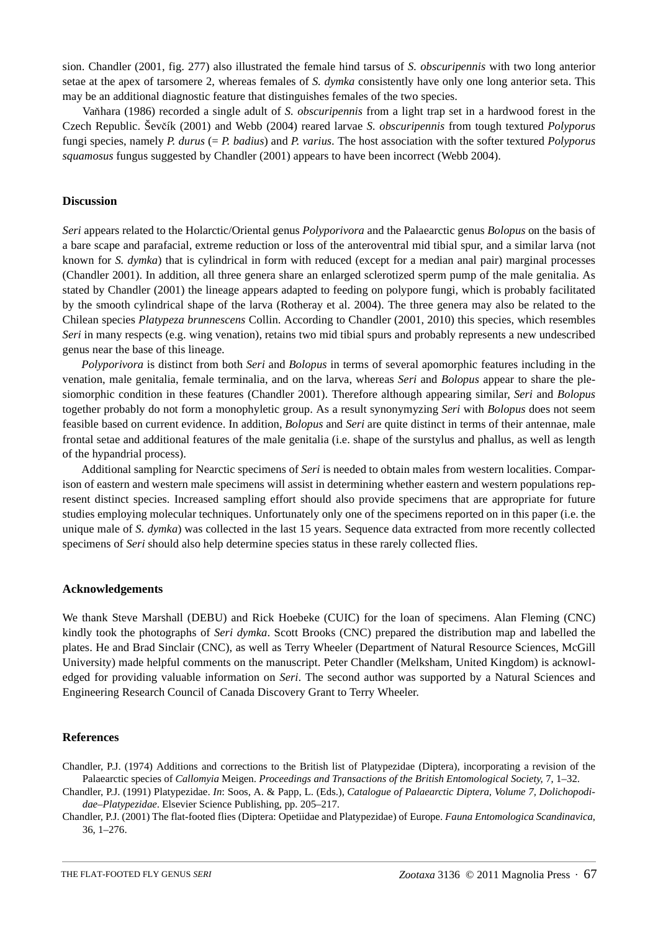sion. Chandler (2001, fig. 277) also illustrated the female hind tarsus of *S. obscuripennis* with two long anterior setae at the apex of tarsomere 2, whereas females of *S. dymka* consistently have only one long anterior seta. This may be an additional diagnostic feature that distinguishes females of the two species.

Vaňhara (1986) recorded a single adult of *S. obscuripennis* from a light trap set in a hardwood forest in the Czech Republic. Ševčík (2001) and Webb (2004) reared larvae *S. obscuripennis* from tough textured *Polyporus* fungi species, namely *P. durus* (= *P. badius*) and *P. varius*. The host association with the softer textured *Polyporus squamosus* fungus suggested by Chandler (2001) appears to have been incorrect (Webb 2004).

#### **Discussion**

*Seri* appears related to the Holarctic/Oriental genus *Polyporivora* and the Palaearctic genus *Bolopus* on the basis of a bare scape and parafacial, extreme reduction or loss of the anteroventral mid tibial spur, and a similar larva (not known for *S. dymka*) that is cylindrical in form with reduced (except for a median anal pair) marginal processes (Chandler 2001). In addition, all three genera share an enlarged sclerotized sperm pump of the male genitalia. As stated by Chandler (2001) the lineage appears adapted to feeding on polypore fungi, which is probably facilitated by the smooth cylindrical shape of the larva (Rotheray et al. 2004). The three genera may also be related to the Chilean species *Platypeza brunnescens* Collin. According to Chandler (2001, 2010) this species, which resembles *Seri* in many respects (e.g. wing venation), retains two mid tibial spurs and probably represents a new undescribed genus near the base of this lineage.

*Polyporivora* is distinct from both *Seri* and *Bolopus* in terms of several apomorphic features including in the venation, male genitalia, female terminalia, and on the larva, whereas *Seri* and *Bolopus* appear to share the plesiomorphic condition in these features (Chandler 2001). Therefore although appearing similar, *Seri* and *Bolopus* together probably do not form a monophyletic group. As a result synonymyzing *Seri* with *Bolopus* does not seem feasible based on current evidence. In addition, *Bolopus* and *Seri* are quite distinct in terms of their antennae, male frontal setae and additional features of the male genitalia (i.e. shape of the surstylus and phallus, as well as length of the hypandrial process).

Additional sampling for Nearctic specimens of *Seri* is needed to obtain males from western localities. Comparison of eastern and western male specimens will assist in determining whether eastern and western populations represent distinct species. Increased sampling effort should also provide specimens that are appropriate for future studies employing molecular techniques. Unfortunately only one of the specimens reported on in this paper (i.e. the unique male of *S. dymka*) was collected in the last 15 years. Sequence data extracted from more recently collected specimens of *Seri* should also help determine species status in these rarely collected flies.

#### **Acknowledgements**

We thank Steve Marshall (DEBU) and Rick Hoebeke (CUIC) for the loan of specimens. Alan Fleming (CNC) kindly took the photographs of *Seri dymka*. Scott Brooks (CNC) prepared the distribution map and labelled the plates. He and Brad Sinclair (CNC), as well as Terry Wheeler (Department of Natural Resource Sciences, McGill University) made helpful comments on the manuscript. Peter Chandler (Melksham, United Kingdom) is acknowledged for providing valuable information on *Seri*. The second author was supported by a Natural Sciences and Engineering Research Council of Canada Discovery Grant to Terry Wheeler.

#### **References**

Chandler, P.J. (1974) Additions and corrections to the British list of Platypezidae (Diptera), incorporating a revision of the Palaearctic species of *Callomyia* Meigen. *Proceedings and Transactions of the British Entomological Society*, 7, 1–32.

Chandler, P.J. (1991) Platypezidae. *In*: Soos, A. & Papp, L. (Eds.), *Catalogue of Palaearctic Diptera, Volume 7, Dolichopodidae*–*Platypezidae*. Elsevier Science Publishing, pp. 205–217.

Chandler, P.J. (2001) The flat-footed flies (Diptera: Opetiidae and Platypezidae) of Europe. *Fauna Entomologica Scandinavica*, 36, 1–276.